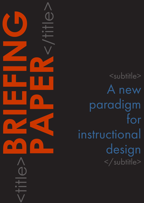<subtitle> A new paradigm for instructional design </subtitle>

<title>**BRIEFING**

**PAPER**<br>CONSTRAINS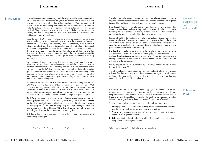## CAPDM Ltd. CAPDM Ltd.

Introduction Having been involved in the design and development of learning materials for on-line and distance learning for many years, it may seem odd to state that I don't fully understand the role of the 'instructional designer'. What I do understand is that most of our contributing academics don't fully understand, or want to understand, the peculiarities of 'e-learning' systems, or the various technologies involved. They are more interested in how they should channel their efforts into creating effective learning materials that can be delivered to students in a way that they can readily learn from.

> Since the early 1990s I have seen the eyes of many an academic author glaze over when being asked to develop for the whims of the instructional designer, rather than continue the good work they have done for many years but have it tailored for effective on-line and distance learning<sup>1</sup>. There is often a disconnect somewhere along the line between the academic and the learning technologist. The latter often seem unable to convey the relevance of their work to the academic, and the academic is either too remote from, or too uninterested in being involved in, the use of ICT to change, or augment, traditional working practices.

> So I concluded many years ago that instructional design can be a very subjective 'art' and that it, coupled with the functional disconnect, can lead to less than effective results. This is certainly backed up by the experience of the investment during the 1990s when there were many well-funded projects on the go. Few have survived the test of time, often because of the subjectivity of the approach or the specific reliance on a particular current technology, but also because the materials were not adopted by technologists and academics alike and cherished for the long term.

**Publications** are clearly understood by the people whose time and expertise you are trying to get best use of. It is therefore proposed here that publications and **publication types** are the new e-paradigm<sup>2</sup>, and that they are key to making the best use of every input to a development, and the effective use and delivery of distance learning.

It is therefore instructive to look at projects that have survived through this period. CAPDM spun out of the on-line MBA programme developed at Heriot-Watt University – a programme that has become a very large, sustainable distanceeducation business. Even its critics would agree that it is an exciting on-line (and paper) delivered programme, and subsequent programmes have been built on the same basis to offer enhancements to the founding development capability.

The MBA programme has a fundamental difference when compared to other similar programmes. It is unashamedly built on good learning content produced by academic authors who have been instructed to develop materials fit for the purpose of … distance learning. They are not producing materials that simply comply with the institutional VLE or the subjective vision of the learning technologists. They put the students and the learning first.

- **1. Hard** (e.g. reference texts or mock exams): have a relatively fixed structure and should vary only rarely between known alternatives.
- 2. Custom (e.g. concept gateways): defined by a specific need which may become a more generic concept.
- 3. Soft (e.g. student handbooks): can differ significantly in interpretation, though still a relatively generic type.

So if 'instructional design' is never mentioned in these mature programmes, what is the driving paradigm?

\_\_\_\_\_\_\_\_\_\_\_\_\_\_\_\_\_

Content: An old paradigm waiting to be re-invented?

There has been a lot written about content, and I am relieved to see that the role of good content is still something to be valued. Various commentators highlight the need for quality content as well as socially-generated content.

Even though 'content' can take many forms, there is something comforting about it to academic authors – they tend to understand it clearly (whatever the form). This is surely key to achieving a harmony between the academic or educationalist and the technologist and delivery environments.

Instead of baffling the audience with talk of instructional design, blogs, wikis, twitter, or whatever flavour of the month tool you have recently stumbled across, why not talk in their terms? Talk about a content publication to provide reference materials, or a publication to engage students in reflection or discussion, or a publication to assess their understanding.

Having argued the case for publication types this far, what exactly do we mean by 'publication types'?

The table on the next page contains a fairly comprehensive list which has been split into four functional areas and three 'structural' categories. Look at them and see if they are familiar to you and whether they cover all your learning needs. If they don't then do let us know.

It is possible to argue for a huge number of types, but it is important to be able to agree definitions, purpose and structure for these components in order that the producers of course materials (who will have to produce to a subset of these types) and the end-user of these materials (who much have a clear understanding of how to make good use of them) can work efficiently and effectively.

There are conceivably three types of structure for publications types:

\_\_\_\_\_\_\_\_\_\_\_\_\_\_\_\_\_

Publication types

 $2$ OK, we've just stuck an 'e' on the front of a very old paradigm..

<sup>&</sup>lt;sup>1</sup>And not forgetting effective back-up of, and support for, face-to-face learning.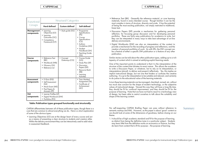- Reference Text (BK). Generally the reference material, or core learning materials, found in every blended course. Though familiar it can be the most complex in terms of structure, diversity and scale. It has the potential of being the most exciting publication, not simply restricted to traditional, linear text.
- •Discussion Papers (DP) provide a mechanism for gathering personal reflection, for focussing group discussion and for developing personal portfolios. These are fairly easy publications for academics to write, but they can be interpreted in many ways to take best advantage of on-line delivery environments.
- •Digital Workbooks (DW) are also an interpretation of the content to provide a mechanism for the recording of progress and reflections, and the creation of personal portfolios of work. As with DPs, the DW concept can be a feature of either a specific DW publication or a feature of any other publication.

Similar stories can be told about the other publication types, adding up to a rich tapestry of content which is aimed at satisfying explicit learning needs.

One of the important points to understand is that it is the interpretation of the structure of the content that dictates its exact nature. This allows the academic to write a Discussion Paper, or whatever, but to rely on its interpretation, or interpretations (plural), to deliver and present it effectively. Yes, this implies an implicit instructional design, but not one that hinders or confuses the creative authoring. It is up to the interpretation to be suitable and relevant, and certainly to do justice to the educational value of the learning materials.

In turn these learning materials can be managed, cherished, revised, etc. without too much due concern for the shape of modern technology, or the subjective values of instructional design. Viewed this way they will have a long life time, they should be fit for continual improvement, and they should be fit for the purpose of learning. Note that we have not had to resort to a technology view of design, but been able to restrict ourselves to talk about the suitability and shape of the learning content.

No self-respecting CAPDM Briefing Paper can pass without reference to semantic markup and XML. However, as this paper is about 'good' content so we should look at some of the dimensions of goodness, before closing on our theme.

1. It should be of high academic standard and fit for the purpose of learning, as distinct from being the definitive tome in a particular subject. Students may learn little from the definitive works on economics or finance, but they do learn from content that is fit for purpose – the purpose of learning.

| Functional<br>Groups            | <b>Structural Categories</b>                                                                            |                            |                                                                                                                                                                              |
|---------------------------------|---------------------------------------------------------------------------------------------------------|----------------------------|------------------------------------------------------------------------------------------------------------------------------------------------------------------------------|
|                                 | <b>Hard defined</b>                                                                                     | <b>Custom defined</b>      | Soft defined                                                                                                                                                                 |
| <b>Management</b><br>components | • Learning<br>Objectives (LO)<br>• Learning<br>Outcomes (OC)<br>• Competency<br>Framework (CF)          | Style guide (SG)           | Programme<br>Specifications<br>(PS)<br>Course<br>Specifications<br>$(\overline{CS})$<br>Authors<br>Guidelines (AG)<br>• Student<br>Handbook (SH)<br>• Teaching Guide<br>(TG) |
| Course<br>components            | • Reference Text<br>(BK)<br>• Workbook (WB)<br>Glossary (GL)<br>Reference List                          | • Concept<br>Gateways (CG) | • Course Guide<br>(UG)<br>Study Plan (SP)<br>Discussion<br>Papers (DP)<br><b>Resource Bank</b><br>(RB)<br>• Learning<br><b>Activities</b>                                    |
| <b>Assessment</b><br>components | $\cdot$ E-Quiz (EQ)<br>• Self Assessment<br>(SA)<br>• Mock Exam (ME)<br>• Past Papers &<br>Answers (PP) |                            | • Tutor Marked<br>Assignment (TA)<br>• Certificate of<br>Achievement<br>(AC)                                                                                                 |
| <b>VLE</b><br>components        | Learner Profiles (LP)<br>Digital Workbook (DW)<br>• Portfolios (PO)                                     |                            |                                                                                                                                                                              |

### Table: Publication types grouped functionally and structurally

CAPDM differentiates between all of these publication types, though there is a core that are common to almost everything we do. Here is a short explanation of some of the obvious types:

•Learning Objectives (LO) are at the design heart of every course and act as a means of presenting a clear structure to students and creators alike. Within the delivery environment they can be interactively used to add value in assessment feedback.

Summary